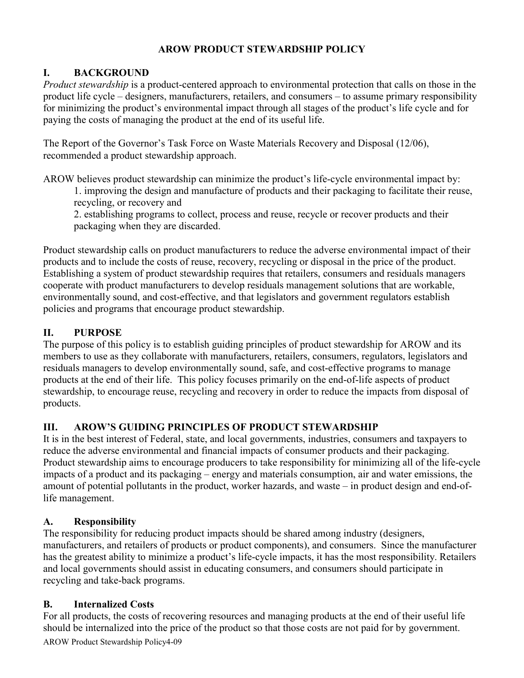### **AROW PRODUCT STEWARDSHIP POLICY**

## **I. BACKGROUD**

*Product stewardship* is a product-centered approach to environmental protection that calls on those in the product life cycle – designers, manufacturers, retailers, and consumers – to assume primary responsibility for minimizing the product's environmental impact through all stages of the product's life cycle and for paying the costs of managing the product at the end of its useful life.

The Report of the Governor's Task Force on Waste Materials Recovery and Disposal (12/06), recommended a product stewardship approach.

AROW believes product stewardship can minimize the product's life-cycle environmental impact by:

1. improving the design and manufacture of products and their packaging to facilitate their reuse, recycling, or recovery and

2. establishing programs to collect, process and reuse, recycle or recover products and their packaging when they are discarded.

Product stewardship calls on product manufacturers to reduce the adverse environmental impact of their products and to include the costs of reuse, recovery, recycling or disposal in the price of the product. Establishing a system of product stewardship requires that retailers, consumers and residuals managers cooperate with product manufacturers to develop residuals management solutions that are workable, environmentally sound, and cost-effective, and that legislators and government regulators establish policies and programs that encourage product stewardship.

# **II. PURPOSE**

The purpose of this policy is to establish guiding principles of product stewardship for AROW and its members to use as they collaborate with manufacturers, retailers, consumers, regulators, legislators and residuals managers to develop environmentally sound, safe, and cost-effective programs to manage products at the end of their life. This policy focuses primarily on the end-of-life aspects of product stewardship, to encourage reuse, recycling and recovery in order to reduce the impacts from disposal of products.

# **III. AROW'S GUIDING PRINCIPLES OF PRODUCT STEWARDSHIP**

It is in the best interest of Federal, state, and local governments, industries, consumers and taxpayers to reduce the adverse environmental and financial impacts of consumer products and their packaging. Product stewardship aims to encourage producers to take responsibility for minimizing all of the life-cycle impacts of a product and its packaging – energy and materials consumption, air and water emissions, the amount of potential pollutants in the product, worker hazards, and waste – in product design and end-oflife management.

### **A. Responsibility**

The responsibility for reducing product impacts should be shared among industry (designers, manufacturers, and retailers of products or product components), and consumers. Since the manufacturer has the greatest ability to minimize a product's life-cycle impacts, it has the most responsibility. Retailers and local governments should assist in educating consumers, and consumers should participate in recycling and take-back programs.

# **B. Internalized Costs**

For all products, the costs of recovering resources and managing products at the end of their useful life should be internalized into the price of the product so that those costs are not paid for by government.